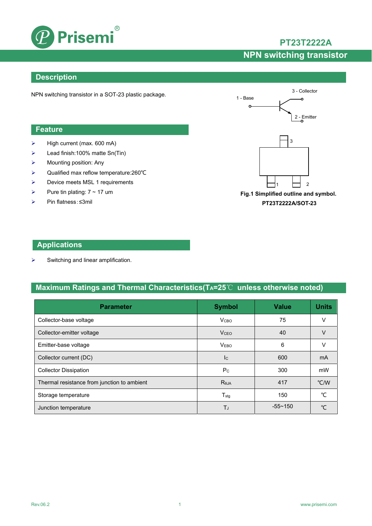

 $\triangleright$  High current (max. 600 mA) Lead finish:100% matte Sn(Tin)

 Qualified max reflow temperature:260℃  $\triangleright$  Device meets MSL 1 requirements

Mounting position: Any

Pure tin plating:  $7 \sim 17$  um

## **PT23T2222A**

# **NPN switching transistor**

### **Description**

**Feature**

NPN switching transistor in a SOT-23 plastic package.



**Fig.1 Simplified outline and symbol. PT23T2222A/SOT-23** 

### **Applications**

Pin flatness:≤3mil

 $\triangleright$  Switching and linear amplification.

### **Maximum Ratings and Thermal Characteristics(TA=25**℃ **unless otherwise noted)**

| <b>Parameter</b>                            | <b>Symbol</b>             | <b>Value</b> | <b>Units</b>  |
|---------------------------------------------|---------------------------|--------------|---------------|
| Collector-base voltage                      | V <sub>CBO</sub>          | 75           | V             |
| Collector-emitter voltage                   | <b>V</b> <sub>CEO</sub>   | 40           | V             |
| Emitter-base voltage                        | <b>VEBO</b>               | 6            | V             |
| Collector current (DC)                      | $\mathsf{I}_{\mathsf{C}}$ | 600          | mA            |
| <b>Collector Dissipation</b>                | P <sub>C</sub>            | 300          | mW            |
| Thermal resistance from junction to ambient | $R_{0,IA}$                | 417          | $\degree$ C/W |
| Storage temperature                         | $T_{\sf stq}$             | 150          | ℃             |
| Junction temperature                        | ТJ                        | $-55 - 150$  | $\sim$        |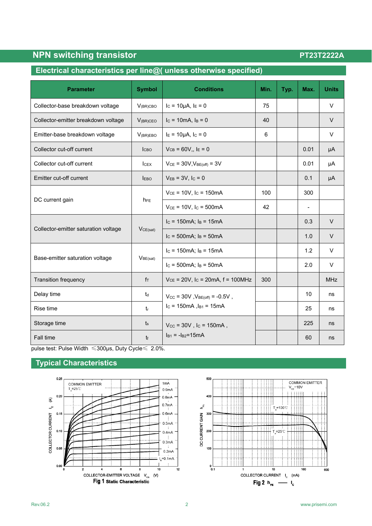### **Electrical characteristics per line@( unless otherwise specified)**

| <b>Parameter</b>                     | <b>Symbol</b>        | <b>Conditions</b>                                 | Min. | Typ. | Max.                     | <b>Units</b> |
|--------------------------------------|----------------------|---------------------------------------------------|------|------|--------------------------|--------------|
| Collector-base breakdown voltage     | $V_{(BR)CBO}$        | $I_c = 10 \mu A$ , $I_E = 0$                      | 75   |      |                          | V            |
| Collector-emitter breakdown voltage  | $V_{(BR)CEO}$        | $I_c = 10mA$ , $I_B = 0$                          | 40   |      |                          | $\vee$       |
| Emitter-base breakdown voltage       | $V_{(BR)EBO}$        | $I_E = 10 \mu A$ , $I_C = 0$                      | 6    |      |                          | V            |
| Collector cut-off current            | l <sub>CBO</sub>     | $V_{CB} = 60V_{H}$ , I <sub>E</sub> = 0           |      |      | 0.01                     | μA           |
| Collector cut-off current            | I <sub>CEX</sub>     | $V_{CE}$ = 30V, $V_{BE(off)}$ = 3V                |      |      | 0.01                     | μA           |
| Emitter cut-off current              | <b>IEBO</b>          | $V_{EB} = 3V$ , $I_C = 0$                         |      |      | 0.1                      | μA           |
| DC current gain                      | h <sub>FE</sub>      | $V_{CE} = 10V$ , $I_C = 150mA$                    | 100  |      | 300                      |              |
|                                      |                      | $V_{CE} = 10V$ , Ic = 500mA                       | 42   |      | $\overline{\phantom{0}}$ |              |
|                                      | VCE(sat)             | $I_c = 150mA$ ; $I_B = 15mA$                      |      |      | 0.3                      | $\vee$       |
| Collector-emitter saturation voltage |                      | $I_c = 500mA$ ; $I_B = 50mA$                      |      |      | 1.0                      | $\vee$       |
|                                      | V <sub>BE(sat)</sub> | $I_c = 150mA$ ; $I_B = 15mA$                      |      |      | 1.2                      | V            |
| Base-emitter saturation voltage      |                      | $I_c = 500 \text{mA}$ ; $I_B = 50 \text{mA}$      |      |      | 2.0                      | V            |
| <b>Transition frequency</b>          | $f_T$                | $V_{CE}$ = 20V, I <sub>C</sub> = 20mA, f = 100MHz | 300  |      |                          | <b>MHz</b>   |
| Delay time                           | $t_d$                | $V_{CC}$ = 30V, $V_{BE(off)}$ = -0.5V,            |      |      | 10                       | ns           |
| Rise time                            | $t_{r}$              | $I_c = 150mA$ , $I_{B1} = 15mA$                   |      |      | 25                       | ns           |
| Storage time                         | $t_{\rm s}$          | $V_{CC}$ = 30V, $I_C$ = 150mA,                    |      |      | 225                      | ns           |
| <b>Fall time</b>                     | $t_{f}$              | $I_{B1} = -I_{B2} = 15mA$                         |      |      | 60                       | ns           |

pulse test: Pulse Width ≤300μs, Duty Cycle≤ 2.0%.

## **Typical Characteristics**



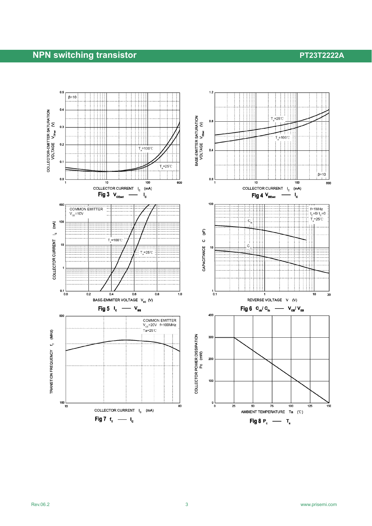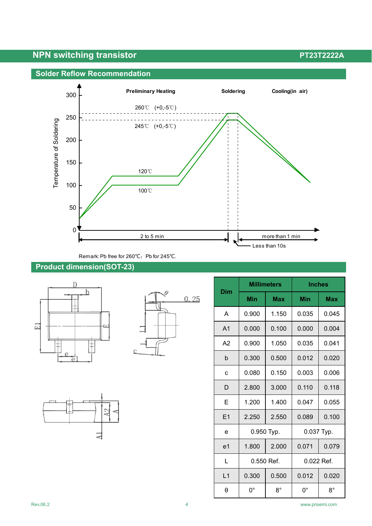



Remark: Pb free for 260℃; Pb for 245℃.

### **Product dimension(SOT-23)**







| <b>Millimeters</b> |              | <b>Inches</b> |              |             |
|--------------------|--------------|---------------|--------------|-------------|
| <b>Dim</b>         | Min          | <b>Max</b>    | Min          | <b>Max</b>  |
| A                  | 0.900        | 1.150         | 0.035        | 0.045       |
| A <sub>1</sub>     | 0.000        | 0.100         | 0.000        | 0.004       |
| A2                 | 0.900        | 1.050         | 0.035        | 0.041       |
| b                  | 0.300        | 0.500         | 0.012        | 0.020       |
| c                  | 0.080        | 0.150         | 0.003        | 0.006       |
| D                  | 2.800        | 3.000         | 0.110        | 0.118       |
| E                  | 1.200        | 1.400         | 0.047        | 0.055       |
| E1                 | 2.250        | 2.550         | 0.089        | 0.100       |
| e                  | 0.950 Typ.   |               | 0.037 Typ.   |             |
| e <sub>1</sub>     | 1.800        | 2.000         | 0.071        | 0.079       |
| L                  | $0.550$ Ref. |               | $0.022$ Ref. |             |
| L1                 | 0.300        | 0.500         | 0.012        | 0.020       |
| θ                  | $0^{\circ}$  | $8^{\circ}$   | 0°           | $8^{\circ}$ |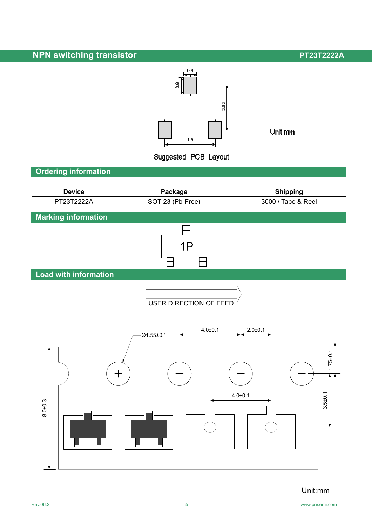

Unit:mm

**Ordering information**

| <b>Device</b> | Package          | <b>Shipping</b>    |
|---------------|------------------|--------------------|
| PT23T2222A    | SOT-23 (Pb-Free) | 3000 / Tape & Reel |

**Marking information**



**Load with information** 





Unit:mm